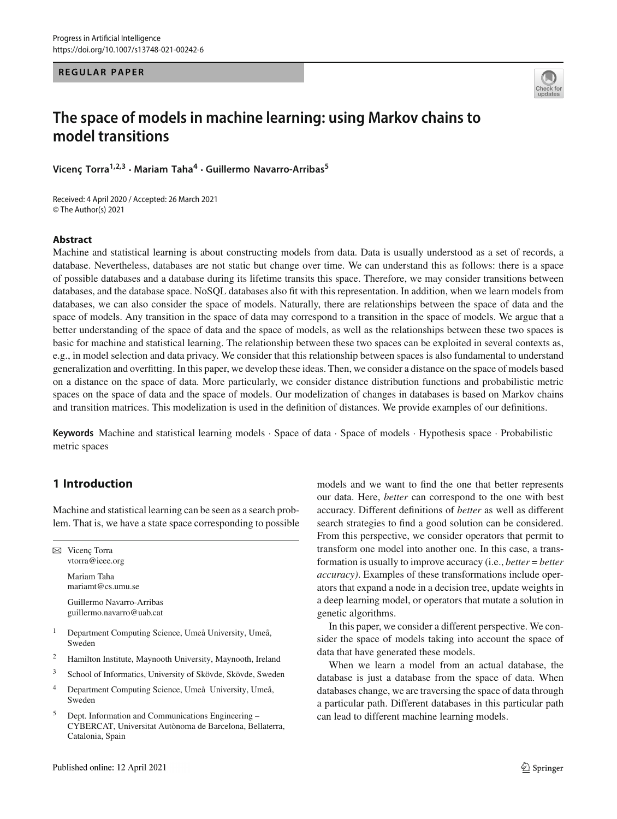#### **REGULAR PAPER**



# **The space of models in machine learning: using Markov chains to model transitions**

**Vicenç Torra1,2,3 · Mariam Taha<sup>4</sup> · Guillermo Navarro-Arribas<sup>5</sup>**

Received: 4 April 2020 / Accepted: 26 March 2021 © The Author(s) 2021

#### **Abstract**

Machine and statistical learning is about constructing models from data. Data is usually understood as a set of records, a database. Nevertheless, databases are not static but change over time. We can understand this as follows: there is a space of possible databases and a database during its lifetime transits this space. Therefore, we may consider transitions between databases, and the database space. NoSQL databases also fit with this representation. In addition, when we learn models from databases, we can also consider the space of models. Naturally, there are relationships between the space of data and the space of models. Any transition in the space of data may correspond to a transition in the space of models. We argue that a better understanding of the space of data and the space of models, as well as the relationships between these two spaces is basic for machine and statistical learning. The relationship between these two spaces can be exploited in several contexts as, e.g., in model selection and data privacy. We consider that this relationship between spaces is also fundamental to understand generalization and overfitting. In this paper, we develop these ideas. Then, we consider a distance on the space of models based on a distance on the space of data. More particularly, we consider distance distribution functions and probabilistic metric spaces on the space of data and the space of models. Our modelization of changes in databases is based on Markov chains and transition matrices. This modelization is used in the definition of distances. We provide examples of our definitions.

**Keywords** Machine and statistical learning models · Space of data · Space of models · Hypothesis space · Probabilistic metric spaces

# **1 Introduction**

Machine and statistical learning can be seen as a search problem. That is, we have a state space corresponding to possible

 $\boxtimes$  Vicenç Torra vtorra@ieee.org Mariam Taha mariamt@cs.umu.se

Guillermo Navarro-Arribas guillermo.navarro@uab.cat

- <sup>1</sup> Department Computing Science, Umeå University, Umeå, Sweden
- <sup>2</sup> Hamilton Institute, Maynooth University, Maynooth, Ireland
- <sup>3</sup> School of Informatics, University of Skövde, Skövde, Sweden
- <sup>4</sup> Department Computing Science, Umeå University, Umeå, Sweden
- <sup>5</sup> Dept. Information and Communications Engineering CYBERCAT, Universitat Autònoma de Barcelona, Bellaterra, Catalonia, Spain

models and we want to find the one that better represents our data. Here, *better* can correspond to the one with best accuracy. Different definitions of *better* as well as different search strategies to find a good solution can be considered. From this perspective, we consider operators that permit to transform one model into another one. In this case, a transformation is usually to improve accuracy (i.e., *better* = *better accuracy)*. Examples of these transformations include operators that expand a node in a decision tree, update weights in a deep learning model, or operators that mutate a solution in genetic algorithms.

In this paper, we consider a different perspective. We consider the space of models taking into account the space of data that have generated these models.

When we learn a model from an actual database, the database is just a database from the space of data. When databases change, we are traversing the space of data through a particular path. Different databases in this particular path can lead to different machine learning models.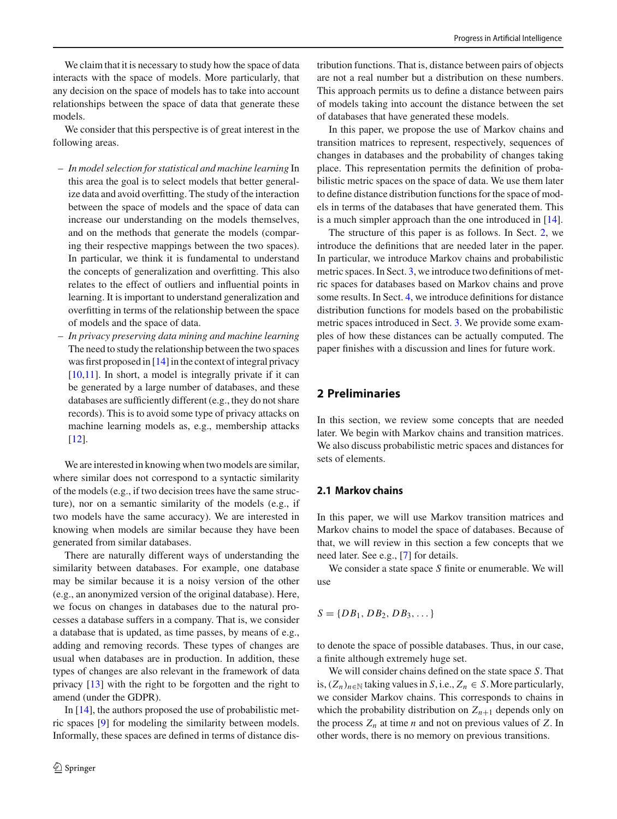We claim that it is necessary to study how the space of data interacts with the space of models. More particularly, that any decision on the space of models has to take into account relationships between the space of data that generate these models.

We consider that this perspective is of great interest in the following areas.

- *In model selection for statistical and machine learning* In this area the goal is to select models that better generalize data and avoid overfitting. The study of the interaction between the space of models and the space of data can increase our understanding on the models themselves, and on the methods that generate the models (comparing their respective mappings between the two spaces). In particular, we think it is fundamental to understand the concepts of generalization and overfitting. This also relates to the effect of outliers and influential points in learning. It is important to understand generalization and overfitting in terms of the relationship between the space of models and the space of data.
- *In privacy preserving data mining and machine learning* The need to study the relationship between the two spaces was first proposed in [\[14](#page-11-0)] in the context of integral privacy [\[10](#page-10-0)[,11\]](#page-10-1). In short, a model is integrally private if it can be generated by a large number of databases, and these databases are sufficiently different (e.g., they do not share records). This is to avoid some type of privacy attacks on machine learning models as, e.g., membership attacks [\[12](#page-10-2)].

We are interested in knowing when two models are similar, where similar does not correspond to a syntactic similarity of the models (e.g., if two decision trees have the same structure), nor on a semantic similarity of the models (e.g., if two models have the same accuracy). We are interested in knowing when models are similar because they have been generated from similar databases.

There are naturally different ways of understanding the similarity between databases. For example, one database may be similar because it is a noisy version of the other (e.g., an anonymized version of the original database). Here, we focus on changes in databases due to the natural processes a database suffers in a company. That is, we consider a database that is updated, as time passes, by means of e.g., adding and removing records. These types of changes are usual when databases are in production. In addition, these types of changes are also relevant in the framework of data privacy [\[13\]](#page-11-1) with the right to be forgotten and the right to amend (under the GDPR).

In [\[14](#page-11-0)], the authors proposed the use of probabilistic metric spaces [\[9](#page-10-3)] for modeling the similarity between models. Informally, these spaces are defined in terms of distance dis-

tribution functions. That is, distance between pairs of objects are not a real number but a distribution on these numbers. This approach permits us to define a distance between pairs of models taking into account the distance between the set of databases that have generated these models.

In this paper, we propose the use of Markov chains and transition matrices to represent, respectively, sequences of changes in databases and the probability of changes taking place. This representation permits the definition of probabilistic metric spaces on the space of data. We use them later to define distance distribution functions for the space of models in terms of the databases that have generated them. This is a much simpler approach than the one introduced in [\[14](#page-11-0)].

The structure of this paper is as follows. In Sect. [2,](#page-1-0) we introduce the definitions that are needed later in the paper. In particular, we introduce Markov chains and probabilistic metric spaces. In Sect. [3,](#page-3-0) we introduce two definitions of metric spaces for databases based on Markov chains and prove some results. In Sect. [4,](#page-7-0) we introduce definitions for distance distribution functions for models based on the probabilistic metric spaces introduced in Sect. [3.](#page-3-0) We provide some examples of how these distances can be actually computed. The paper finishes with a discussion and lines for future work.

# <span id="page-1-0"></span>**2 Preliminaries**

In this section, we review some concepts that are needed later. We begin with Markov chains and transition matrices. We also discuss probabilistic metric spaces and distances for sets of elements.

#### **2.1 Markov chains**

In this paper, we will use Markov transition matrices and Markov chains to model the space of databases. Because of that, we will review in this section a few concepts that we need later. See e.g., [\[7](#page-10-4)] for details.

We consider a state space *S* finite or enumerable. We will use

$$
S = \{DB_1, DB_2, DB_3, \dots\}
$$

to denote the space of possible databases. Thus, in our case, a finite although extremely huge set.

We will consider chains defined on the state space *S*. That is,  $(Z_n)_{n \in \mathbb{N}}$  taking values in *S*, i.e.,  $Z_n$  ∈ *S*. More particularly, we consider Markov chains. This corresponds to chains in which the probability distribution on  $Z_{n+1}$  depends only on the process  $Z_n$  at time *n* and not on previous values of  $Z$ . In other words, there is no memory on previous transitions.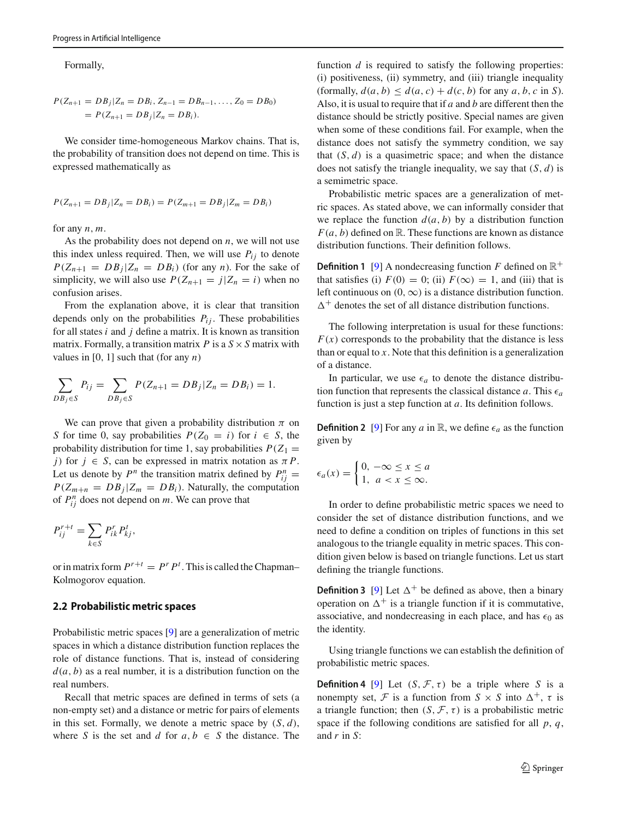Formally,

$$
P(Z_{n+1} = DB_j | Z_n = DB_i, Z_{n-1} = DB_{n-1}, \dots, Z_0 = DB_0)
$$
  
=  $P(Z_{n+1} = DB_j | Z_n = DB_i).$ 

We consider time-homogeneous Markov chains. That is, the probability of transition does not depend on time. This is expressed mathematically as

$$
P(Z_{n+1} = DB_j | Z_n = DB_i) = P(Z_{m+1} = DB_j | Z_m = DB_i)
$$

for any *n*, *m*.

As the probability does not depend on *n*, we will not use this index unless required. Then, we will use  $P_{ij}$  to denote  $P(Z_{n+1} = DB_j | Z_n = DB_i)$  (for any *n*). For the sake of simplicity, we will also use  $P(Z_{n+1} = j | Z_n = i)$  when no confusion arises.

From the explanation above, it is clear that transition depends only on the probabilities  $P_{ij}$ . These probabilities for all states *i* and *j* define a matrix. It is known as transition matrix. Formally, a transition matrix  $P$  is a  $S \times S$  matrix with values in  $[0, 1]$  such that (for any *n*)

$$
\sum_{DB_j \in S} P_{ij} = \sum_{DB_j \in S} P(Z_{n+1} = DB_j | Z_n = DB_i) = 1.
$$

We can prove that given a probability distribution  $\pi$  on *S* for time 0, say probabilities  $P(Z_0 = i)$  for  $i \in S$ , the probability distribution for time 1, say probabilities  $P(Z_1 =$ *j*) for  $j \in S$ , can be expressed in matrix notation as  $\pi P$ . Let us denote by  $P^n$  the transition matrix defined by  $P_{ij}^n =$  $P(Z_{m+n} = DB_j | Z_m = DB_i)$ . Naturally, the computation of  $P_{ij}^n$  does not depend on *m*. We can prove that

$$
P_{ij}^{r+t} = \sum_{k \in S} P_{ik}^r P_{kj}^t,
$$

or in matrix form  $P^{r+t} = P^r P^t$ . This is called the Chapman– Kolmogorov equation.

#### **2.2 Probabilistic metric spaces**

Probabilistic metric spaces [\[9\]](#page-10-3) are a generalization of metric spaces in which a distance distribution function replaces the role of distance functions. That is, instead of considering  $d(a, b)$  as a real number, it is a distribution function on the real numbers.

Recall that metric spaces are defined in terms of sets (a non-empty set) and a distance or metric for pairs of elements in this set. Formally, we denote a metric space by (*S*, *d*), where *S* is the set and *d* for  $a, b \in S$  the distance. The function *d* is required to satisfy the following properties: (i) positiveness, (ii) symmetry, and (iii) triangle inequality (formally,  $d(a, b) \leq d(a, c) + d(c, b)$  for any  $a, b, c$  in *S*). Also, it is usual to require that if *a* and *b* are different then the distance should be strictly positive. Special names are given when some of these conditions fail. For example, when the distance does not satisfy the symmetry condition, we say that  $(S, d)$  is a quasimetric space; and when the distance does not satisfy the triangle inequality, we say that (*S*, *d*) is a semimetric space.

Probabilistic metric spaces are a generalization of metric spaces. As stated above, we can informally consider that we replace the function  $d(a, b)$  by a distribution function  $F(a, b)$  defined on R. These functions are known as distance distribution functions. Their definition follows.

<span id="page-2-0"></span>**Definition 1** [\[9](#page-10-3)] A nondecreasing function *F* defined on  $\mathbb{R}^+$ that satisfies (i)  $F(0) = 0$ ; (ii)  $F(\infty) = 1$ , and (iii) that is left continuous on  $(0, \infty)$  is a distance distribution function.  $\Delta^+$  denotes the set of all distance distribution functions.

The following interpretation is usual for these functions:  $F(x)$  corresponds to the probability that the distance is less than or equal to *x*. Note that this definition is a generalization of a distance.

In particular, we use  $\epsilon_a$  to denote the distance distribution function that represents the classical distance  $a$ . This  $\epsilon_a$ function is just a step function at *a*. Its definition follows.

**Definition 2** [\[9](#page-10-3)] For any *a* in R, we define  $\epsilon_a$  as the function given by

$$
\epsilon_a(x) = \begin{cases} 0, & -\infty \le x \le a \\ 1, & a < x \le \infty. \end{cases}
$$

In order to define probabilistic metric spaces we need to consider the set of distance distribution functions, and we need to define a condition on triples of functions in this set analogous to the triangle equality in metric spaces. This condition given below is based on triangle functions. Let us start defining the triangle functions.

**Definition 3** [\[9](#page-10-3)] Let  $\Delta^+$  be defined as above, then a binary operation on  $\Delta^+$  is a triangle function if it is commutative, associative, and nondecreasing in each place, and has  $\epsilon_0$  as the identity.

<span id="page-2-1"></span>Using triangle functions we can establish the definition of probabilistic metric spaces.

**Definition 4** [\[9](#page-10-3)] Let  $(S, \mathcal{F}, \tau)$  be a triple where *S* is a nonempty set, *F* is a function from  $S \times S$  into  $\Delta^+$ ,  $\tau$  is a triangle function; then  $(S, \mathcal{F}, \tau)$  is a probabilistic metric space if the following conditions are satisfied for all *p*, *q*, and *r* in *S*: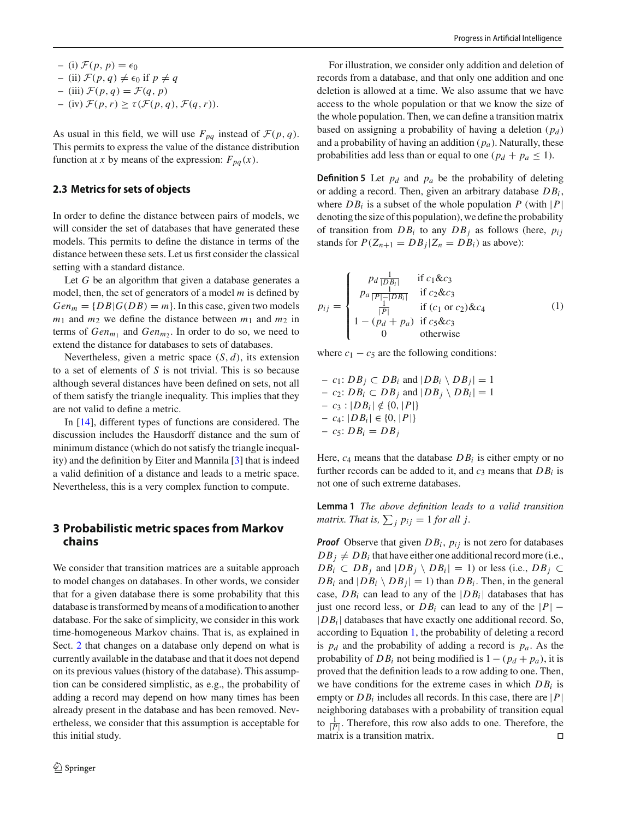- $-$  (i)  $\mathcal{F}(p, p) = \epsilon_0$
- $-$  (ii)  $\mathcal{F}(p,q) \neq \epsilon_0$  if  $p \neq q$
- $-$  (iii)  $\mathcal{F}(p,q) = \mathcal{F}(q,p)$
- $-$  (iv)  $\mathcal{F}(p,r) \geq \tau(\mathcal{F}(p,q), \mathcal{F}(q,r)).$

As usual in this field, we will use  $F_{pq}$  instead of  $\mathcal{F}(p,q)$ . This permits to express the value of the distance distribution function at *x* by means of the expression:  $F_{pa}(x)$ .

### <span id="page-3-3"></span>**2.3 Metrics for sets of objects**

In order to define the distance between pairs of models, we will consider the set of databases that have generated these models. This permits to define the distance in terms of the distance between these sets. Let us first consider the classical setting with a standard distance.

Let *G* be an algorithm that given a database generates a model, then, the set of generators of a model *m* is defined by  $Gen_m = \{DB | G(DB) = m\}$ . In this case, given two models  $m_1$  and  $m_2$  we define the distance between  $m_1$  and  $m_2$  in terms of  $Gen_{m_1}$  and  $Gen_{m_2}$ . In order to do so, we need to extend the distance for databases to sets of databases.

Nevertheless, given a metric space (*S*, *d*), its extension to a set of elements of *S* is not trivial. This is so because although several distances have been defined on sets, not all of them satisfy the triangle inequality. This implies that they are not valid to define a metric.

In [\[14](#page-11-0)], different types of functions are considered. The discussion includes the Hausdorff distance and the sum of minimum distance (which do not satisfy the triangle inequality) and the definition by Eiter and Mannila [\[3](#page-10-5)] that is indeed a valid definition of a distance and leads to a metric space. Nevertheless, this is a very complex function to compute.

## <span id="page-3-0"></span>**3 Probabilistic metric spaces from Markov chains**

We consider that transition matrices are a suitable approach to model changes on databases. In other words, we consider that for a given database there is some probability that this database is transformed by means of a modification to another database. For the sake of simplicity, we consider in this work time-homogeneous Markov chains. That is, as explained in Sect. [2](#page-1-0) that changes on a database only depend on what is currently available in the database and that it does not depend on its previous values (history of the database). This assumption can be considered simplistic, as e.g., the probability of adding a record may depend on how many times has been already present in the database and has been removed. Nevertheless, we consider that this assumption is acceptable for this initial study.

For illustration, we consider only addition and deletion of records from a database, and that only one addition and one deletion is allowed at a time. We also assume that we have access to the whole population or that we know the size of the whole population. Then, we can define a transition matrix based on assigning a probability of having a deletion  $(p_d)$ and a probability of having an addition  $(p_a)$ . Naturally, these probabilities add less than or equal to one ( $p_d + p_a \leq 1$ ).

<span id="page-3-2"></span>**Definition 5** Let  $p_d$  and  $p_a$  be the probability of deleting or adding a record. Then, given an arbitrary database *DBi* , where  $DB_i$  is a subset of the whole population  $P$  (with  $|P|$ ) denoting the size of this population), we define the probability of transition from  $DB_i$  to any  $DB_j$  as follows (here,  $p_{ij}$ stands for  $P(Z_{n+1} = DB_i | Z_n = DB_i)$  as above):

<span id="page-3-1"></span>
$$
p_{ij} = \begin{cases} p_d \frac{1}{|DB_i|} & \text{if } c_1 \& c_3\\ p_a \frac{1}{|P| - |DB_i|} & \text{if } c_2 \& c_3\\ \frac{1}{|P|} & \text{if } (c_1 \text{ or } c_2) \& c_4\\ 1 - (p_d + p_a) & \text{if } c_5 \& c_3\\ 0 & \text{otherwise} \end{cases} \tag{1}
$$

where  $c_1 - c_5$  are the following conditions:

$$
- c_1: DB_j \subset DB_i \text{ and } |DB_i \setminus DB_j| = 1
$$
  
\n
$$
- c_2: DB_i \subset DB_j \text{ and } |DB_j \setminus DB_i| = 1
$$
  
\n
$$
- c_3: |DB_i| \notin \{0, |P|\}
$$
  
\n
$$
- c_4: |DB_i| \in \{0, |P|\}
$$
  
\n
$$
- c_5: DB_i = DB_j
$$

Here,  $c_4$  means that the database  $DB_i$  is either empty or no further records can be added to it, and  $c_3$  means that  $DB_i$  is not one of such extreme databases.

**Lemma 1** *The above definition leads to a valid transition matrix. That is,*  $\sum_j p_{ij} = 1$  *for all j.* 

*Proof* Observe that given  $DB_i$ ,  $p_{ij}$  is not zero for databases  $DB_i \neq DB_i$  that have either one additional record more (i.e.,  $DB_i \subset DB_j$  and  $|DB_j \setminus DB_i| = 1$ ) or less (i.e.,  $DB_j \subset$  $DB_i$  and  $|DB_i \setminus DB_j| = 1$ ) than  $DB_i$ . Then, in the general case,  $DB_i$  can lead to any of the  $|DB_i|$  databases that has just one record less, or  $DB_i$  can lead to any of the  $|P|$  –  $|DB_i|$  databases that have exactly one additional record. So, according to Equation [1,](#page-3-1) the probability of deleting a record is  $p_d$  and the probability of adding a record is  $p_a$ . As the probability of  $DB_i$  not being modified is  $1 - (p_d + p_a)$ , it is proved that the definition leads to a row adding to one. Then, we have conditions for the extreme cases in which *DBi* is empty or  $DB_i$  includes all records. In this case, there are  $|P|$ neighboring databases with a probability of transition equal to  $\frac{1}{|P|}$ . Therefore, this row also adds to one. Therefore, the matrix is a transition matrix.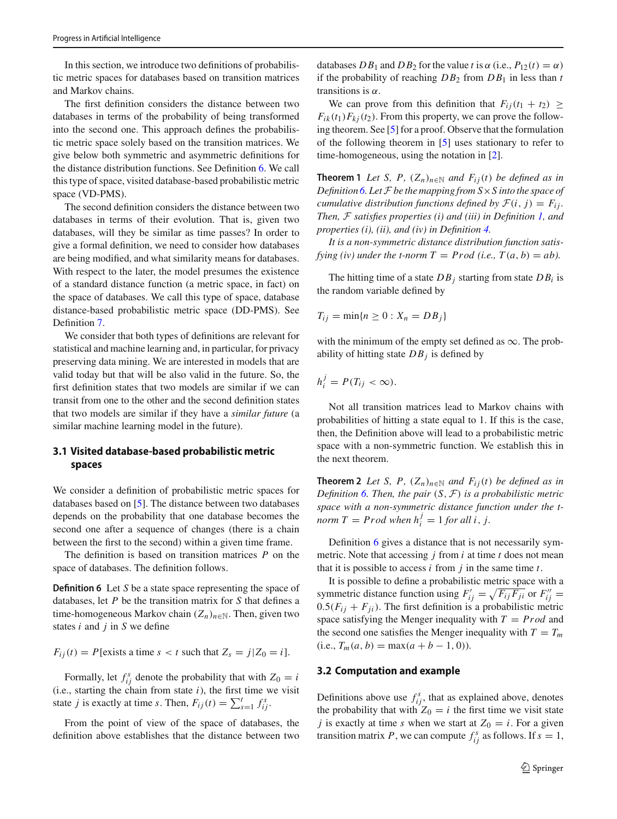In this section, we introduce two definitions of probabilistic metric spaces for databases based on transition matrices and Markov chains.

The first definition considers the distance between two databases in terms of the probability of being transformed into the second one. This approach defines the probabilistic metric space solely based on the transition matrices. We give below both symmetric and asymmetric definitions for the distance distribution functions. See Definition [6.](#page-4-0) We call this type of space, visited database-based probabilistic metric space (VD-PMS).

The second definition considers the distance between two databases in terms of their evolution. That is, given two databases, will they be similar as time passes? In order to give a formal definition, we need to consider how databases are being modified, and what similarity means for databases. With respect to the later, the model presumes the existence of a standard distance function (a metric space, in fact) on the space of databases. We call this type of space, database distance-based probabilistic metric space (DD-PMS). See Definition [7.](#page-6-0)

We consider that both types of definitions are relevant for statistical and machine learning and, in particular, for privacy preserving data mining. We are interested in models that are valid today but that will be also valid in the future. So, the first definition states that two models are similar if we can transit from one to the other and the second definition states that two models are similar if they have a *similar future* (a similar machine learning model in the future).

# **3.1 Visited database-based probabilistic metric spaces**

We consider a definition of probabilistic metric spaces for databases based on [\[5](#page-10-6)]. The distance between two databases depends on the probability that one database becomes the second one after a sequence of changes (there is a chain between the first to the second) within a given time frame.

The definition is based on transition matrices *P* on the space of databases. The definition follows.

**Definition 6** Let *S* be a state space representing the space of databases, let *P* be the transition matrix for *S* that defines a time-homogeneous Markov chain  $(Z_n)_{n \in \mathbb{N}}$ . Then, given two states *i* and *j* in *S* we define

 $F_{ii}(t) = P$ [exists a time  $s < t$  such that  $Z_s = j | Z_0 = i$ ].

Formally, let  $f_{ij}^s$  denote the probability that with  $Z_0 = i$  $(i.e., starting the chain from state  $i$ ), the first time we visit$ state *j* is exactly at time *s*. Then,  $F_{ij}(t) = \sum_{s=1}^{t} f_{ij}^{s}$ .

From the point of view of the space of databases, the definition above establishes that the distance between two databases  $DB_1$  and  $DB_2$  for the value *t* is  $\alpha$  (i.e.,  $P_{12}(t) = \alpha$ ) if the probability of reaching  $DB_2$  from  $DB_1$  in less than  $t$ transitions is  $\alpha$ .

We can prove from this definition that  $F_{ij}(t_1 + t_2) \geq$  $F_{ik}(t_1)F_{ki}(t_2)$ . From this property, we can prove the following theorem. See [\[5\]](#page-10-6) for a proof. Observe that the formulation of the following theorem in [\[5](#page-10-6)] uses stationary to refer to time-homogeneous, using the notation in [\[2\]](#page-10-7).

**Theorem 1** *Let S*, *P*,  $(Z_n)_{n \in \mathbb{N}}$  *and*  $F_{ij}(t)$  *be defined as in Definition [6.](#page-4-0) Let F be the mapping from S*×*S into the space of cumulative distribution functions defined by*  $\mathcal{F}(i, j) = F_{ij}$ . *Then, F satisfies properties (i) and (iii) in Definition [1,](#page-2-0) and properties (i), (ii), and (iv) in Definition [4.](#page-2-1)*

*It is a non-symmetric distance distribution function satisfying (iv) under the t-norm T = Prod (i.e., T(a, b) = ab).* 

The hitting time of a state  $DB_i$  starting from state  $DB_i$  is the random variable defined by

$$
T_{ij} = \min\{n \geq 0 : X_n = DB_j\}
$$

with the minimum of the empty set defined as  $\infty$ . The probability of hitting state  $DB_i$  is defined by

$$
h_i^j = P(T_{ij} < \infty).
$$

Not all transition matrices lead to Markov chains with probabilities of hitting a state equal to 1. If this is the case, then, the Definition above will lead to a probabilistic metric space with a non-symmetric function. We establish this in the next theorem.

**Theorem 2** *Let S*, *P*,  $(Z_n)_{n \in \mathbb{N}}$  *and*  $F_{ij}(t)$  *be defined as in Definition [6.](#page-4-0) Then, the pair* (*S*, *F*) *is a probabilistic metric space with a non-symmetric distance function under the tnorm*  $T = \text{Prod when } h_i^j = 1 \text{ for all } i, j.$ 

Definition [6](#page-4-0) gives a distance that is not necessarily symmetric. Note that accessing *j* from *i* at time *t* does not mean that it is possible to access *i* from *j* in the same time *t*.

<span id="page-4-0"></span>It is possible to define a probabilistic metric space with a symmetric distance function using  $F'_{ij} = \sqrt{F_{ij}F_{ji}}$  or  $F''_{ij} =$  $0.5(F_{ij} + F_{ji})$ . The first definition is a probabilistic metric space satisfying the Menger inequality with  $T = Prod$  and the second one satisfies the Menger inequality with  $T = T_m$  $(i.e., T_m(a, b) = \max(a + b - 1, 0).$ 

#### **3.2 Computation and example**

Definitions above use  $f_{ij}^s$ , that as explained above, denotes the probability that with  $Z_0 = i$  the first time we visit state *j* is exactly at time *s* when we start at  $Z_0 = i$ . For a given transition matrix *P*, we can compute  $f_{ij}^s$  as follows. If  $s = 1$ ,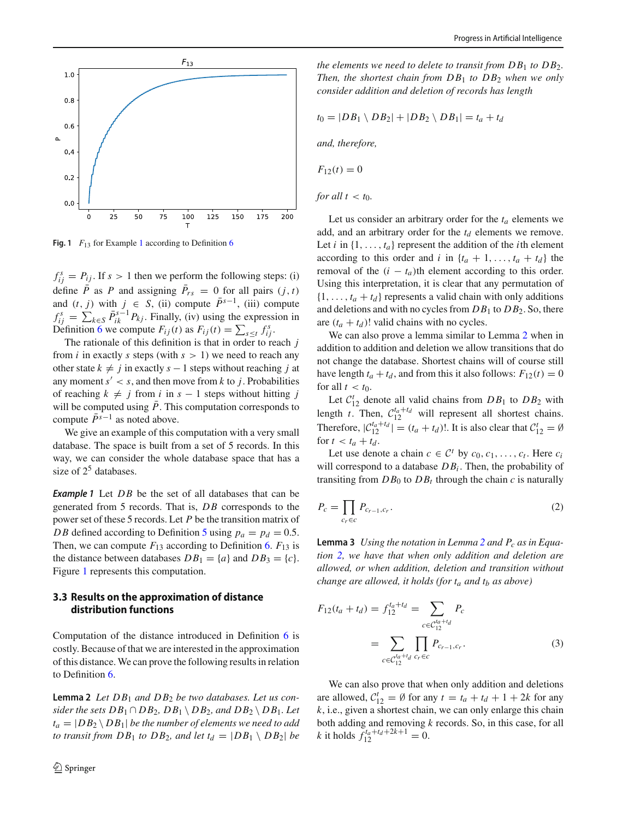

<span id="page-5-1"></span>**Fig. [1](#page-5-0)**  $F_{13}$  for Example 1 according to Definition [6](#page-4-0)

 $f_{ij}^s = P_{ij}$ . If  $s > 1$  then we perform the following steps: (i) define *P* as *P* and assigning  $P_{rs} = 0$  for all pairs  $(j, t)$ and  $(t, j)$  with  $j \in S$ , (ii) compute  $\bar{P}^{s-1}$ , (iii) compute  $f_{ij}^s = \sum_{k \in S} \bar{P}_{ik}^{s-1} P_{kj}$ . Finally, (iv) using the expression in Definition [6](#page-4-0) we compute  $F_{ij}(t)$  as  $F_{ij}(t) = \sum_{s \le t} f_{ij}^s$ .

The rationale of this definition is that in order to reach *j* from *i* in exactly *s* steps (with  $s > 1$ ) we need to reach any other state  $k \neq j$  in exactly  $s - 1$  steps without reaching *j* at any moment  $s' < s$ , and then move from *k* to *j*. Probabilities of reaching  $k \neq j$  from *i* in  $s - 1$  steps without hitting *j* will be computed using  $\bar{P}$ . This computation corresponds to compute  $\bar{P}^{s-1}$  as noted above.

We give an example of this computation with a very small database. The space is built from a set of 5 records. In this way, we can consider the whole database space that has a size of  $2^5$  databases.

<span id="page-5-0"></span>**Example 1** Let DB be the set of all databases that can be generated from 5 records. That is, *DB* corresponds to the power set of these 5 records. Let *P* be the transition matrix of *DB* defined according to Definition [5](#page-3-2) using  $p_a = p_d = 0.5$ . Then, we can compute  $F_{13}$  according to Definition [6.](#page-4-0)  $F_{13}$  is the distance between databases  $DB_1 = \{a\}$  and  $DB_3 = \{c\}.$ Figure [1](#page-5-1) represents this computation.

## **3.3 Results on the approximation of distance distribution functions**

Computation of the distance introduced in Definition [6](#page-4-0) is costly. Because of that we are interested in the approximation of this distance. We can prove the following results in relation to Definition [6.](#page-4-0)

<span id="page-5-2"></span>**Lemma 2** *Let DB*<sup>1</sup> *and DB*<sup>2</sup> *be two databases. Let us consider the sets*  $DB_1 \cap DB_2$ ,  $DB_1 \setminus DB_2$ , and  $DB_2 \setminus DB_1$ . Let  $t_a = |DB_2 \setminus DB_1|$  *be the number of elements we need to add to transit from DB*<sub>1</sub> *to DB*<sub>2</sub>*, and let*  $t_d = |DB_1 \setminus DB_2|$  *be*  *the elements we need to delete to transit from*  $DB_1$  *to*  $DB_2$ *. Then, the shortest chain from DB*<sup>1</sup> *to DB*<sup>2</sup> *when we only consider addition and deletion of records has length*

$$
t_0 = |DB_1 \setminus DB_2| + |DB_2 \setminus DB_1| = t_a + t_d
$$

*and, therefore,*

$$
F_{12}(t)=0
$$

*for all*  $t < t_0$ *.* 

Let us consider an arbitrary order for the  $t_a$  elements we add, and an arbitrary order for the  $t_d$  elements we remove. Let  $i$  in  $\{1, \ldots, t_a\}$  represent the addition of the  $i$ th element according to this order and *i* in  $\{t_a + 1, \ldots, t_a + t_d\}$  the removal of the  $(i - t_a)$ th element according to this order. Using this interpretation, it is clear that any permutation of  $\{1, \ldots, t_a + t_d\}$  represents a valid chain with only additions and deletions and with no cycles from *DB*<sup>1</sup> to *DB*2. So, there are  $(t_a + t_d)!$  valid chains with no cycles.

We can also prove a lemma similar to Lemma [2](#page-5-2) when in addition to addition and deletion we allow transitions that do not change the database. Shortest chains will of course still have length  $t_a + t_d$ , and from this it also follows:  $F_{12}(t) = 0$ for all  $t < t_0$ .

Let  $C_{12}^t$  denote all valid chains from  $DB_1$  to  $DB_2$  with length *t*. Then,  $C_{12}^{t_a+t_d}$  will represent all shortest chains. Therefore,  $|C_{12}^{t_a+t_d}| = (t_a + t_d)!$ . It is also clear that  $C_{12}^t = \emptyset$ for  $t < t_a + t_d$ .

Let use denote a chain  $c \in C^t$  by  $c_0, c_1, \ldots, c_t$ . Here  $c_i$ will correspond to a database  $DB_i$ . Then, the probability of transiting from  $DB_0$  to  $DB_t$  through the chain  $c$  is naturally

<span id="page-5-3"></span>
$$
P_c = \prod_{c_r \in c} P_{c_{r-1}, c_r}.\tag{2}
$$

Lemma 3 *Using the notation in Lemma [2](#page-5-2) and P<sub>c</sub> as in Equation [2,](#page-5-3) we have that when only addition and deletion are allowed, or when addition, deletion and transition without change are allowed, it holds (for*  $t_a$  *and*  $t_b$  *as above)* 

<span id="page-5-4"></span>
$$
F_{12}(t_a + t_d) = f_{12}^{t_a + t_d} = \sum_{c \in C_{12}^{t_a + t_d}} P_c
$$
  
= 
$$
\sum_{c \in C_{12}^{t_a + t_d}} \prod_{c_r \in c} P_{c_{r-1}, c_r}.
$$
 (3)

We can also prove that when only addition and deletions are allowed,  $C_{12}^t = \emptyset$  for any  $t = t_a + t_d + 1 + 2k$  for any *k*, i.e., given a shortest chain, we can only enlarge this chain both adding and removing *k* records. So, in this case, for all *k* it holds  $f_{12}^{t_a+t_d+2k+1} = 0$ .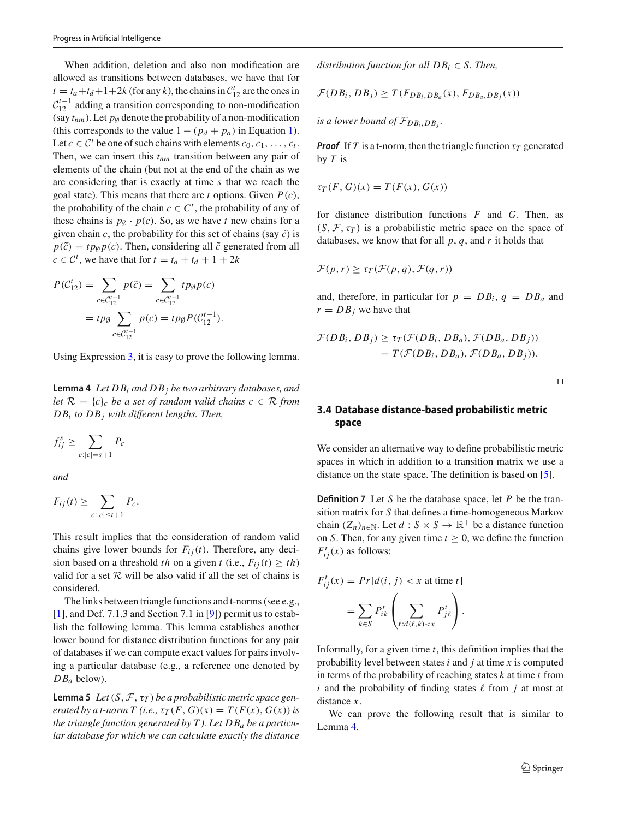When addition, deletion and also non modification are allowed as transitions between databases, we have that for  $t = t_a + t_d + 1 + 2k$  (for any *k*), the chains in  $C_{12}^t$  are the ones in  $C_{12}^{t-1}$  adding a transition corresponding to non-modification (say  $t_{nm}$ ). Let  $p_{\emptyset}$  denote the probability of a non-modification (this corresponds to the value  $1 - (p_d + p_a)$  in Equation [1\)](#page-3-1). Let  $c \in \mathcal{C}^t$  be one of such chains with elements  $c_0, c_1, \ldots, c_t$ . Then, we can insert this  $t_{nm}$  transition between any pair of elements of the chain (but not at the end of the chain as we are considering that is exactly at time *s* that we reach the goal state). This means that there are *t* options. Given *P*(*c*), the probability of the chain  $c \in C^t$ , the probability of any of these chains is  $p_{\emptyset} \cdot p(c)$ . So, as we have *t* new chains for a given chain *c*, the probability for this set of chains (say  $\tilde{c}$ ) is  $p(\tilde{c}) = tp_{\emptyset} p(c)$ . Then, considering all  $\tilde{c}$  generated from all  $c \in \mathcal{C}^t$ , we have that for  $t = t_a + t_d + 1 + 2k$ 

$$
P(C'_{12}) = \sum_{c \in C'^{-1}_{12}} p(\tilde{c}) = \sum_{c \in C'^{-1}_{12}} tp_{\emptyset} p(c)
$$
  
=  $tp_{\emptyset} \sum_{c \in C'^{-1}_{12}} p(c) = tp_{\emptyset} P(C'^{-1}_{12}).$ 

<span id="page-6-1"></span>Using Expression [3,](#page-5-4) it is easy to prove the following lemma.

**Lemma 4** *Let DBi and DBj be two arbitrary databases, and let*  $\mathcal{R} = \{c\}$ *c be a set of random valid chains*  $c \in \mathcal{R}$  *from DBi to DBj with different lengths. Then,*

$$
f_{ij}^s \ge \sum_{c:|c|=s+1} P_c
$$

*and*

$$
F_{ij}(t) \ge \sum_{c:|c|\le t+1} P_c.
$$

This result implies that the consideration of random valid chains give lower bounds for  $F_{ij}(t)$ . Therefore, any decision based on a threshold *th* on a given *t* (i.e.,  $F_{ij}(t) \geq th$ ) valid for a set  $R$  will be also valid if all the set of chains is considered.

The links between triangle functions and t-norms (see e.g., [\[1](#page-10-8)], and Def. 7.1.3 and Section 7.1 in [\[9](#page-10-3)]) permit us to establish the following lemma. This lemma establishes another lower bound for distance distribution functions for any pair of databases if we can compute exact values for pairs involving a particular database (e.g., a reference one denoted by *DBa* below).

**Lemma 5** Let  $(S, \mathcal{F}, \tau_T)$  be a probabilistic metric space gen*erated by a t-norm T (i.e.,*  $\tau_T(F, G)(x) = T(F(x), G(x))$  *is the triangle function generated by T ). Let DBa be a particular database for which we can calculate exactly the distance*

*distribution function for all*  $DB_i \in S$ . Then,

$$
\mathcal{F}(DB_i, DB_j) \geq T(F_{DB_i, DB_a}(x), F_{DB_a, DB_j}(x))
$$

*is a lower bound of*  $\mathcal{F}_{DB_i, DB_j}$ .

*Proof* If *T* is a t-norm, then the triangle function  $\tau_T$  generated by *T* is

$$
\tau_T(F, G)(x) = T(F(x), G(x))
$$

for distance distribution functions *F* and *G*. Then, as  $(S, \mathcal{F}, \tau_T)$  is a probabilistic metric space on the space of databases, we know that for all *p*, *q*, and *r* it holds that

$$
\mathcal{F}(p,r) \geq \tau_T(\mathcal{F}(p,q), \mathcal{F}(q,r))
$$

and, therefore, in particular for  $p = DB_i$ ,  $q = DB_a$  and  $r = DB_i$  we have that

$$
\mathcal{F}(DB_i, DB_j) \ge \tau_T(\mathcal{F}(DB_i, DB_a), \mathcal{F}(DB_a, DB_j))
$$
  
=  $T(\mathcal{F}(DB_i, DB_a), \mathcal{F}(DB_a, DB_j)).$ 

 $\Box$ 

### **3.4 Database distance-based probabilistic metric space**

We consider an alternative way to define probabilistic metric spaces in which in addition to a transition matrix we use a distance on the state space. The definition is based on [\[5](#page-10-6)].

<span id="page-6-0"></span>**Definition 7** Let *S* be the database space, let *P* be the transition matrix for *S* that defines a time-homogeneous Markov chain  $(Z_n)_{n \in \mathbb{N}}$ . Let  $d : S \times S \to \mathbb{R}^+$  be a distance function on *S*. Then, for any given time  $t \geq 0$ , we define the function  $F_{ij}^t(x)$  as follows:

$$
F_{ij}^t(x) = Pr[d(i, j) < x \text{ at time } t]
$$
\n
$$
= \sum_{k \in S} P_{ik}^t \left( \sum_{\ell : d(\ell, k) < x} P_{j\ell}^t \right).
$$

Informally, for a given time *t*, this definition implies that the probability level between states*i* and *j* at time *x* is computed in terms of the probability of reaching states *k* at time *t* from  $i$  and the probability of finding states  $\ell$  from  $j$  at most at distance *x*.

We can prove the following result that is similar to Lemma [4.](#page-6-1)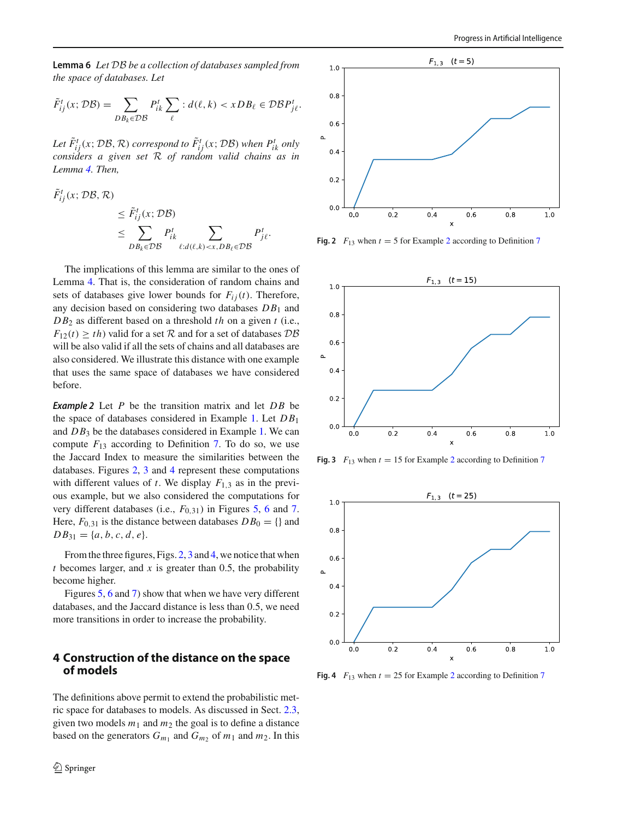**Lemma 6** *Let DB be a collection of databases sampled from the space of databases. Let*

$$
\tilde{F}_{ij}^t(x; \mathcal{DB}) = \sum_{DB_k \in \mathcal{DB}} P_{ik}^t \sum_{\ell} : d(\ell, k) < xDB_{\ell} \in \mathcal{DB} P_{j\ell}^t.
$$

Let  $\tilde{F}^t_{ij}(x; \mathcal{DB}, \mathcal{R})$  correspond to  $\tilde{F}^t_{ij}(x; \mathcal{DB})$  when  $P^t_{ik}$  only *considers a given set R of random valid chains as in Lemma [4.](#page-6-1) Then,*

$$
\tilde{F}_{ij}^{t}(x; \mathcal{DB}, \mathcal{R}) \leq \tilde{F}_{ij}^{t}(x; \mathcal{DB}) \leq \sum_{DB_{k} \in \mathcal{DB}} P_{ik}^{t} \sum_{\ell : d(\ell,k) < x, DB_{\ell} \in \mathcal{DB}} P_{j\ell}^{t}.
$$

The implications of this lemma are similar to the ones of Lemma [4.](#page-6-1) That is, the consideration of random chains and sets of databases give lower bounds for  $F_{ij}(t)$ . Therefore, any decision based on considering two databases *DB*<sup>1</sup> and *DB*<sup>2</sup> as different based on a threshold *th* on a given *t* (i.e.,  $F_{12}(t) \geq th$ ) valid for a set *R* and for a set of databases  $DB$ will be also valid if all the sets of chains and all databases are also considered. We illustrate this distance with one example that uses the same space of databases we have considered before.

<span id="page-7-4"></span>*Example 2* Let *P* be the transition matrix and let *DB* be the space of databases considered in Example [1.](#page-5-0) Let *DB*<sup>1</sup> and *DB*<sup>3</sup> be the databases considered in Example [1.](#page-5-0) We can compute  $F_{13}$  according to Definition [7.](#page-6-0) To do so, we use the Jaccard Index to measure the similarities between the databases. Figures [2,](#page-7-1) [3](#page-7-2) and [4](#page-7-3) represent these computations with different values of  $t$ . We display  $F_{1,3}$  as in the previous example, but we also considered the computations for very different databases (i.e., *F*0,31) in Figures [5,](#page-8-0) [6](#page-8-1) and [7.](#page-8-2) Here,  $F_{0,31}$  is the distance between databases  $DB_0 = \{\}$  and  $DB_{31} = \{a, b, c, d, e\}.$ 

From the three figures, Figs. [2,](#page-7-1) [3](#page-7-2) and [4,](#page-7-3) we notice that when *t* becomes larger, and *x* is greater than 0.5, the probability become higher.

Figures [5,](#page-8-0) [6](#page-8-1) and [7\)](#page-8-2) show that when we have very different databases, and the Jaccard distance is less than 0.5, we need more transitions in order to increase the probability.

## <span id="page-7-0"></span>**4 Construction of the distance on the space of models**

The definitions above permit to extend the probabilistic metric space for databases to models. As discussed in Sect. [2.3,](#page-3-3) given two models  $m_1$  and  $m_2$  the goal is to define a distance based on the generators  $G_{m_1}$  and  $G_{m_2}$  of  $m_1$  and  $m_2$ . In this



<span id="page-7-1"></span>**Fig. [2](#page-7-4)**  $F_{13}$  when  $t = 5$  for Example 2 according to Definition [7](#page-6-0)



<span id="page-7-2"></span>**Fig. 3**  $F_{13}$  when  $t = 15$  for Example [2](#page-7-4) according to Definition [7](#page-6-0)



<span id="page-7-3"></span>**Fig. 4**  $F_{13}$  when  $t = 25$  $t = 25$  $t = 25$  for Example 2 according to Definition [7](#page-6-0)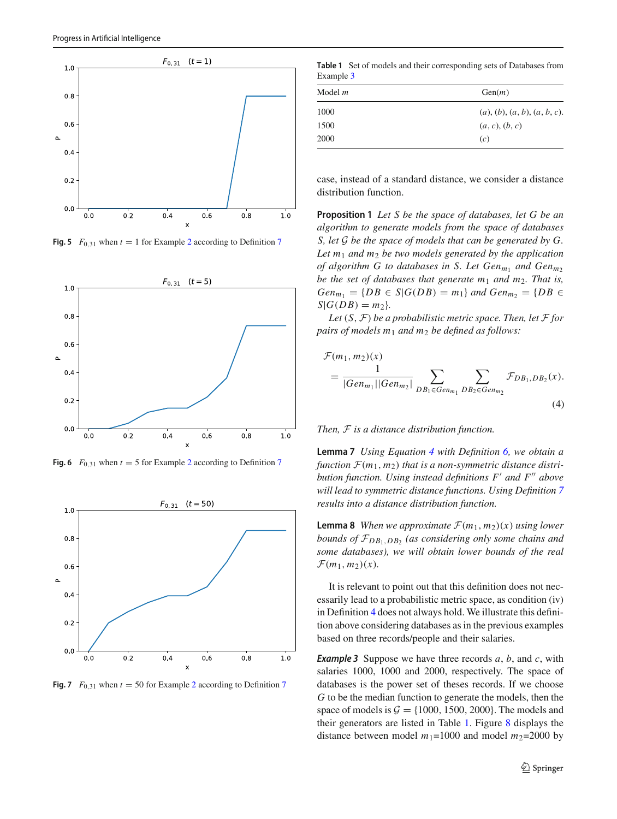

<span id="page-8-0"></span>**Fig. 5**  $F_{0,31}$  when  $t = 1$  for Example [2](#page-7-4) according to Definition [7](#page-6-0)



<span id="page-8-1"></span>**Fig. 6**  $F_{0,31}$  when  $t = 5$  for Example [2](#page-7-4) according to Definition [7](#page-6-0)



<span id="page-8-2"></span>**Fig. [7](#page-6-0)**  $F_{0,31}$  when  $t = 50$  for Example [2](#page-7-4) according to Definition 7

<span id="page-8-5"></span>**Table 1** Set of models and their corresponding sets of Databases from Example [3](#page-8-3)

| Model m | Gen(m)                       |
|---------|------------------------------|
| 1000    | (a), (b), (a, b), (a, b, c). |
| 1500    | (a, c), (b, c)               |
| 2000    | (c)                          |

<span id="page-8-6"></span>case, instead of a standard distance, we consider a distance distribution function.

**Proposition 1** *Let S be the space of databases, let G be an algorithm to generate models from the space of databases S, let G be the space of models that can be generated by G. Let m*<sup>1</sup> *and m*<sup>2</sup> *be two models generated by the application of algorithm G to databases in S. Let Gen<sub>m1</sub> and Gen<sub>m2</sub> be the set of databases that generate m*<sup>1</sup> *and m*2*. That is,*  $Gen_{m_1} = \{DB \in S | G(DB) = m_1\}$  *and*  $Gen_{m_2} = \{DB \in S | G(DB| \}$  $S|G(DB) = m_2$ *).* 

*Let*  $(S, F)$  *be a probabilistic metric space. Then, let*  $F$  *for pairs of models m*<sup>1</sup> *and m*<sup>2</sup> *be defined as follows:*

<span id="page-8-4"></span>
$$
\mathcal{F}(m_1, m_2)(x)
$$
  
=  $\frac{1}{|Gen_{m_1}||Gen_{m_2}|} \sum_{DB_1 \in Gen_{m_1} DB_2 \in Gen_{m_2}} \mathcal{F}_{DB_1, DB_2}(x)$ . (4)

*Then, F is a distance distribution function.*

**Lemma 7** *Using Equation [4](#page-8-4) with Definition [6,](#page-4-0) we obtain a* function  $\mathcal{F}(m_1, m_2)$  that is a non-symmetric distance distri*bution function. Using instead definitions F and F above will lead to symmetric distance functions. Using Definition [7](#page-6-0) results into a distance distribution function.*

**Lemma 8** *When we approximate*  $\mathcal{F}(m_1, m_2)(x)$  *using lower bounds of FDB*1,*DB*<sup>2</sup> *(as considering only some chains and some databases), we will obtain lower bounds of the real*  $\mathcal{F}(m_1, m_2)(x)$ .

It is relevant to point out that this definition does not necessarily lead to a probabilistic metric space, as condition (iv) in Definition [4](#page-2-1) does not always hold. We illustrate this definition above considering databases as in the previous examples based on three records/people and their salaries.

<span id="page-8-3"></span>*Example 3* Suppose we have three records *a*, *b*, and *c*, with salaries 1000, 1000 and 2000, respectively. The space of databases is the power set of theses records. If we choose *G* to be the median function to generate the models, then the space of models is  $G = \{1000, 1500, 2000\}$ . The models and their generators are listed in Table [1.](#page-8-5) Figure [8](#page-9-0) displays the distance between model  $m_1$ =1000 and model  $m_2$ =2000 by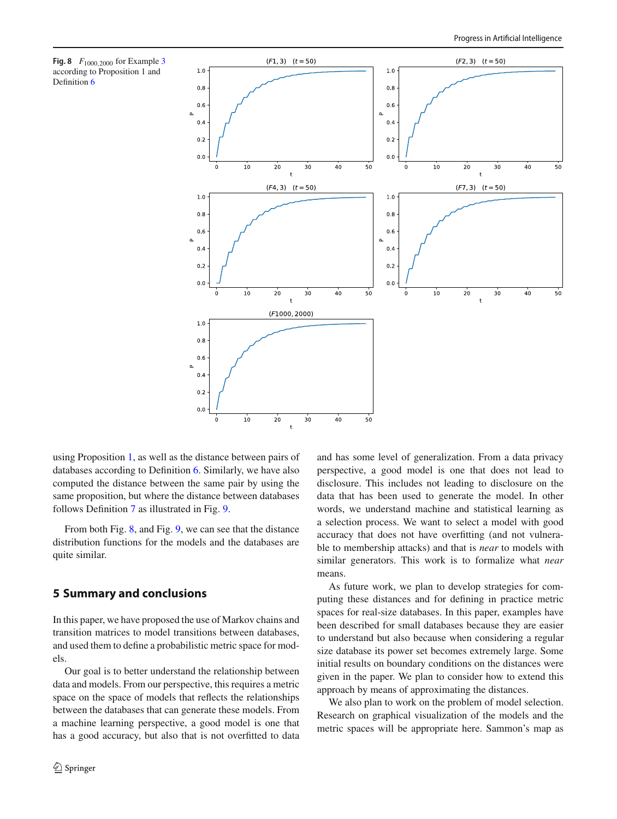<span id="page-9-0"></span>



using Proposition [1,](#page-8-6) as well as the distance between pairs of databases according to Definition [6.](#page-4-0) Similarly, we have also computed the distance between the same pair by using the same proposition, but where the distance between databases follows Definition [7](#page-6-0) as illustrated in Fig. [9.](#page-10-9)

From both Fig. [8,](#page-9-0) and Fig. [9,](#page-10-9) we can see that the distance distribution functions for the models and the databases are quite similar.

## **5 Summary and conclusions**

In this paper, we have proposed the use of Markov chains and transition matrices to model transitions between databases, and used them to define a probabilistic metric space for models.

Our goal is to better understand the relationship between data and models. From our perspective, this requires a metric space on the space of models that reflects the relationships between the databases that can generate these models. From a machine learning perspective, a good model is one that has a good accuracy, but also that is not overfitted to data and has some level of generalization. From a data privacy perspective, a good model is one that does not lead to disclosure. This includes not leading to disclosure on the data that has been used to generate the model. In other words, we understand machine and statistical learning as a selection process. We want to select a model with good accuracy that does not have overfitting (and not vulnerable to membership attacks) and that is *near* to models with similar generators. This work is to formalize what *near* means.

As future work, we plan to develop strategies for computing these distances and for defining in practice metric spaces for real-size databases. In this paper, examples have been described for small databases because they are easier to understand but also because when considering a regular size database its power set becomes extremely large. Some initial results on boundary conditions on the distances were given in the paper. We plan to consider how to extend this approach by means of approximating the distances.

We also plan to work on the problem of model selection. Research on graphical visualization of the models and the metric spaces will be appropriate here. Sammon's map as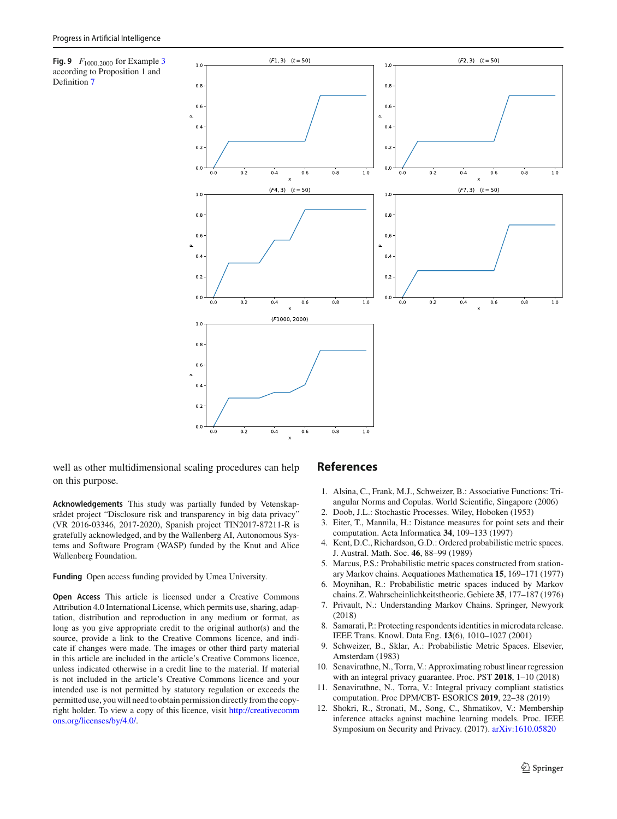<span id="page-10-9"></span>**Fig. 9** *F*1000,<sup>2000</sup> for Example [3](#page-8-3) according to Proposition 1 and Definition [7](#page-6-0)



well as other multidimensional scaling procedures can help on this purpose.

**Acknowledgements** This study was partially funded by Vetenskapsrådet project "Disclosure risk and transparency in big data privacy" (VR 2016-03346, 2017-2020), Spanish project TIN2017-87211-R is gratefully acknowledged, and by the Wallenberg AI, Autonomous Systems and Software Program (WASP) funded by the Knut and Alice Wallenberg Foundation.

**Funding** Open access funding provided by Umea University.

**Open Access** This article is licensed under a Creative Commons Attribution 4.0 International License, which permits use, sharing, adaptation, distribution and reproduction in any medium or format, as long as you give appropriate credit to the original author(s) and the source, provide a link to the Creative Commons licence, and indicate if changes were made. The images or other third party material in this article are included in the article's Creative Commons licence, unless indicated otherwise in a credit line to the material. If material is not included in the article's Creative Commons licence and your intended use is not permitted by statutory regulation or exceeds the permitted use, you will need to obtain permission directly from the copyright holder. To view a copy of this licence, visit [http://creativecomm](http://creativecommons.org/licenses/by/4.0/) [ons.org/licenses/by/4.0/.](http://creativecommons.org/licenses/by/4.0/)

### **References**

- <span id="page-10-8"></span>1. Alsina, C., Frank, M.J., Schweizer, B.: Associative Functions: Triangular Norms and Copulas. World Scientific, Singapore (2006)
- <span id="page-10-7"></span>2. Doob, J.L.: Stochastic Processes. Wiley, Hoboken (1953)
- <span id="page-10-5"></span>3. Eiter, T., Mannila, H.: Distance measures for point sets and their computation. Acta Informatica **34**, 109–133 (1997)
- 4. Kent, D.C., Richardson, G.D.: Ordered probabilistic metric spaces. J. Austral. Math. Soc. **46**, 88–99 (1989)
- <span id="page-10-6"></span>5. Marcus, P.S.: Probabilistic metric spaces constructed from stationary Markov chains. Aequationes Mathematica **15**, 169–171 (1977)
- 6. Moynihan, R.: Probabilistic metric spaces induced by Markov chains. Z. Wahrscheinlichkeitstheorie. Gebiete **35**, 177–187 (1976)
- <span id="page-10-4"></span>7. Privault, N.: Understanding Markov Chains. Springer, Newyork (2018)
- 8. Samarati, P.: Protecting respondents identities in microdata release. IEEE Trans. Knowl. Data Eng. **13**(6), 1010–1027 (2001)
- <span id="page-10-3"></span>9. Schweizer, B., Sklar, A.: Probabilistic Metric Spaces. Elsevier, Amsterdam (1983)
- <span id="page-10-0"></span>10. Senavirathne, N., Torra, V.: Approximating robust linear regression with an integral privacy guarantee. Proc. PST **2018**, 1–10 (2018)
- <span id="page-10-1"></span>11. Senavirathne, N., Torra, V.: Integral privacy compliant statistics computation. Proc DPM/CBT- ESORICS **2019**, 22–38 (2019)
- <span id="page-10-2"></span>12. Shokri, R., Stronati, M., Song, C., Shmatikov, V.: Membership inference attacks against machine learning models. Proc. IEEE Symposium on Security and Privacy. (2017). [arXiv:1610.05820](http://arxiv.org/abs/1610.05820)